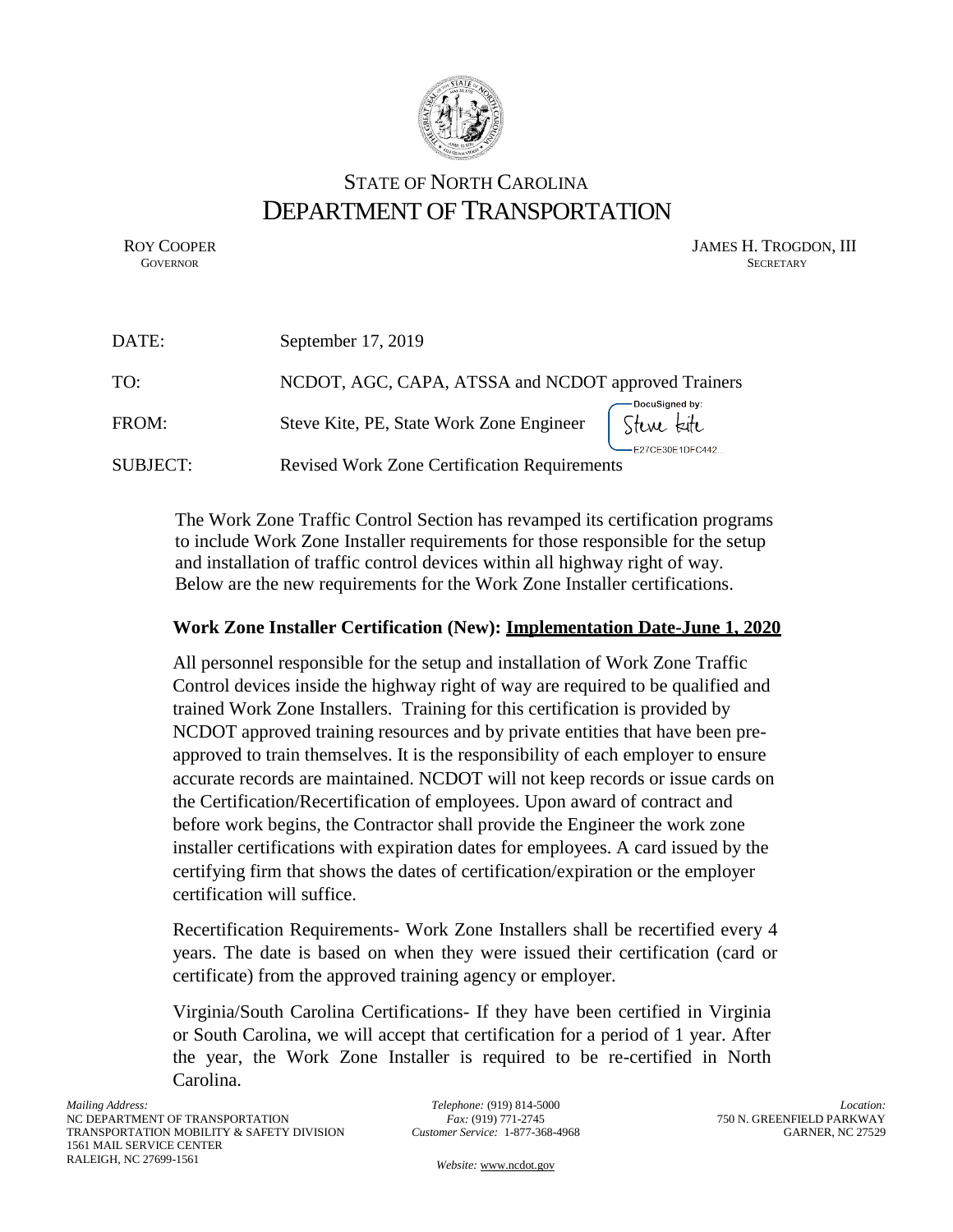

## STATE OF NORTH CAROLINA DEPARTMENT OF TRANSPORTATION

ROY COOPER JAMES H. TROGDON, III **GOVERNOR SECRETARY** SECRETARY

| DATE:           | September 17, 2019                                  |                 |
|-----------------|-----------------------------------------------------|-----------------|
| TO:             | NCDOT, AGC, CAPA, ATSSA and NCDOT approved Trainers |                 |
| FROM:           | Steve Kite, PE, State Work Zone Engineer Steve kite |                 |
| <b>SUBJECT:</b> | <b>Revised Work Zone Certification Requirements</b> | E27CE30E1DFC442 |

The Work Zone Traffic Control Section has revamped its certification programs to include Work Zone Installer requirements for those responsible for the setup and installation of traffic control devices within all highway right of way. Below are the new requirements for the Work Zone Installer certifications.

## **Work Zone Installer Certification (New): Implementation Date-June 1, 2020**

All personnel responsible for the setup and installation of Work Zone Traffic Control devices inside the highway right of way are required to be qualified and trained Work Zone Installers. Training for this certification is provided by NCDOT approved training resources and by private entities that have been preapproved to train themselves. It is the responsibility of each employer to ensure accurate records are maintained. NCDOT will not keep records or issue cards on the Certification/Recertification of employees. Upon award of contract and before work begins, the Contractor shall provide the Engineer the work zone installer certifications with expiration dates for employees. A card issued by the certifying firm that shows the dates of certification/expiration or the employer certification will suffice.

Recertification Requirements- Work Zone Installers shall be recertified every 4 years. The date is based on when they were issued their certification (card or certificate) from the approved training agency or employer.

Virginia/South Carolina Certifications- If they have been certified in Virginia or South Carolina, we will accept that certification for a period of 1 year. After the year, the Work Zone Installer is required to be re-certified in North Carolina.

*Telephone:* (919) 814-5000 *Fax:* (919) 771-2745 *Customer Service:* 1-877-368-4968

*Location:* 750 N. GREENFIELD PARKWAY GARNER, NC 27529

*Website:* [www.ncdot.gov](http://www.ncdot.gov/)